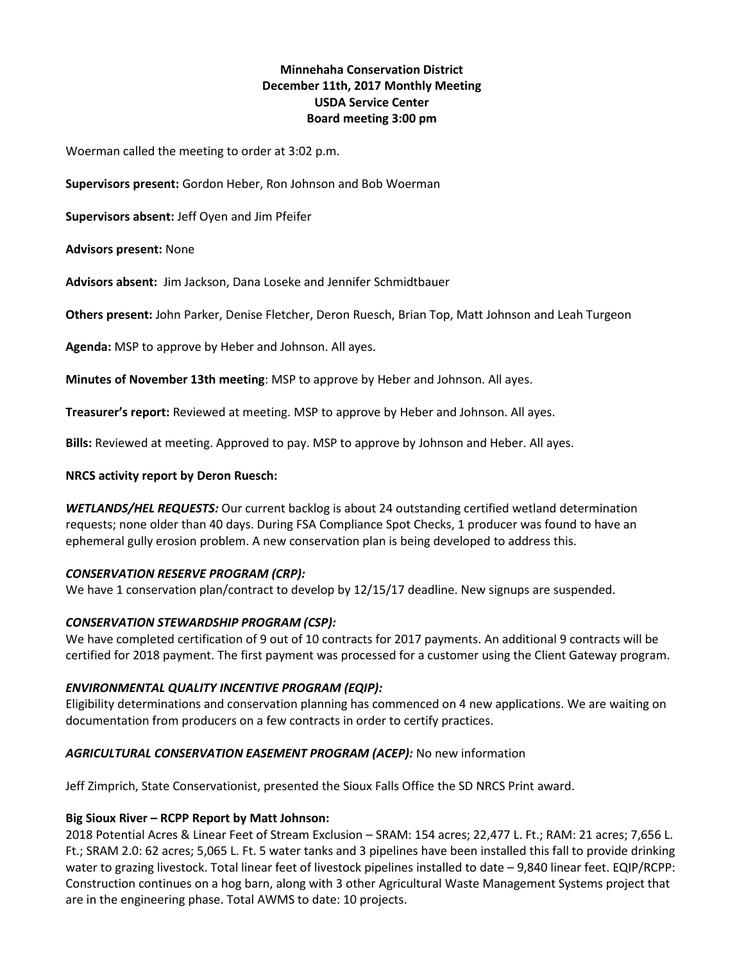# **Minnehaha Conservation District December 11th, 2017 Monthly Meeting USDA Service Center Board meeting 3:00 pm**

Woerman called the meeting to order at 3:02 p.m.

**Supervisors present:** Gordon Heber, Ron Johnson and Bob Woerman

**Supervisors absent:** Jeff Oyen and Jim Pfeifer

### **Advisors present:** None

**Advisors absent:** Jim Jackson, Dana Loseke and Jennifer Schmidtbauer

**Others present:** John Parker, Denise Fletcher, Deron Ruesch, Brian Top, Matt Johnson and Leah Turgeon

**Agenda:** MSP to approve by Heber and Johnson. All ayes.

**Minutes of November 13th meeting**: MSP to approve by Heber and Johnson. All ayes.

**Treasurer's report:** Reviewed at meeting. MSP to approve by Heber and Johnson. All ayes.

**Bills:** Reviewed at meeting. Approved to pay. MSP to approve by Johnson and Heber. All ayes.

### **NRCS activity report by Deron Ruesch:**

*WETLANDS/HEL REQUESTS:* Our current backlog is about 24 outstanding certified wetland determination requests; none older than 40 days. During FSA Compliance Spot Checks, 1 producer was found to have an ephemeral gully erosion problem. A new conservation plan is being developed to address this.

#### *CONSERVATION RESERVE PROGRAM (CRP):*

We have 1 conservation plan/contract to develop by 12/15/17 deadline. New signups are suspended.

# *CONSERVATION STEWARDSHIP PROGRAM (CSP):*

We have completed certification of 9 out of 10 contracts for 2017 payments. An additional 9 contracts will be certified for 2018 payment. The first payment was processed for a customer using the Client Gateway program.

# *ENVIRONMENTAL QUALITY INCENTIVE PROGRAM (EQIP):*

Eligibility determinations and conservation planning has commenced on 4 new applications. We are waiting on documentation from producers on a few contracts in order to certify practices.

# *AGRICULTURAL CONSERVATION EASEMENT PROGRAM (ACEP):* No new information

Jeff Zimprich, State Conservationist, presented the Sioux Falls Office the SD NRCS Print award.

# **Big Sioux River – RCPP Report by Matt Johnson:**

2018 Potential Acres & Linear Feet of Stream Exclusion – SRAM: 154 acres; 22,477 L. Ft.; RAM: 21 acres; 7,656 L. Ft.; SRAM 2.0: 62 acres; 5,065 L. Ft. 5 water tanks and 3 pipelines have been installed this fall to provide drinking water to grazing livestock. Total linear feet of livestock pipelines installed to date - 9,840 linear feet. EQIP/RCPP: Construction continues on a hog barn, along with 3 other Agricultural Waste Management Systems project that are in the engineering phase. Total AWMS to date: 10 projects.